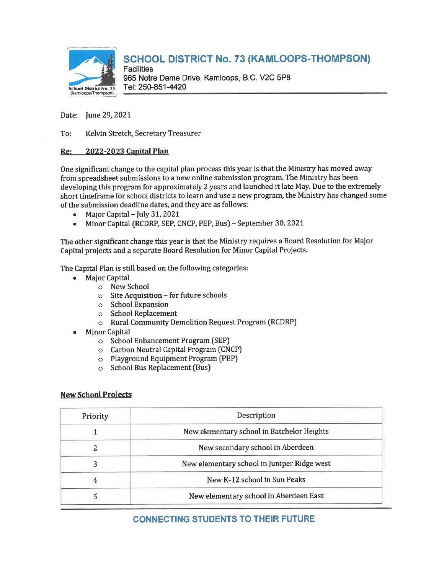

# SCHOOL DISTRICT No. 73 (KAMLOOPS-THOMPSON)

**Facilities** 965 Notre Dame Drive, Kamloops, B.C. V2C 5P8 School District No. 73 Tel: 250-851-4420

Date: June 29, 2021

To: Kelvin Stretch, Secretary Treasurer

#### Re: 2022-2023 Capital Plan

One significant change to the capital plan process this year is that the Ministry has moved away from spreadsheet submissions to a new online submission program. The Ministry has been developing this program for approximately 2 years and launched it late May. Due to the extremely short timeframe for school districts to learn and use a new program, the Ministry has changed some of the submission deadline dates, and they are as follows:

- . Major Capital-July 31, 2021
- . Minor Capital (RCDRP, SEP, CNCP, PEP, Bus] September 30, 2021

The other significant change this year is that the Ministry requires a Board Resolution for Major Capital projects and a separate Board Resolution for Minor Capital Projects.

The Capital Plan is still based on the following categories:

- . Major Capital
	- o New School
	- o Site Acquisition for future schools
	- o School Expansion
	- o School Replacement
	- o Rural Community Demolition Request Program (RCDRP)
- . Minor Capital
	- o School Enhancement Program (SEP)
	- o Carbon Neutral Capital Program CCNCP)
	- o Playground Equipment Program [PEP)
	- o School Bus Replacement [Bus)

#### **New School Projects**

| Priority | Description                                 |  |
|----------|---------------------------------------------|--|
|          | New elementary school in Batchelor Heights  |  |
|          | New secondary school in Aberdeen            |  |
|          | New elementary school in Juniper Ridge west |  |
|          | New K-12 school in Sun Peaks                |  |
|          | New elementary school in Aberdeen East      |  |

## CONNECTING STUDENTS TO THEIR FUTURE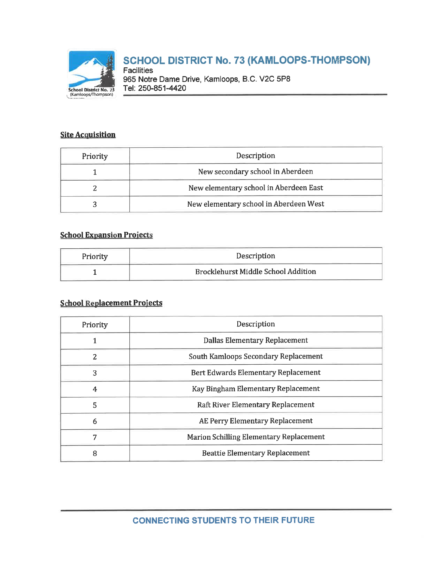

# SCHOOL DISTRICT No. 73 (KAMLOOPS-THOMPSON)

**Facilities** 965 Notre Dame Drive, Kamloops, B.C. V2C 5P8 Tel: 250-851-4420

## **Site Acquisition**

| Priority | Description                            |
|----------|----------------------------------------|
|          | New secondary school in Aberdeen       |
|          | New elementary school in Aberdeen East |
|          | New elementary school in Aberdeen West |

## **School Expansion Projects**

| Priority | Description                                |
|----------|--------------------------------------------|
|          | <b>Brocklehurst Middle School Addition</b> |

## **School Replacement Projects**

| Priority | Description                                |
|----------|--------------------------------------------|
|          | Dallas Elementary Replacement              |
| 2        | South Kamloops Secondary Replacement       |
| 3        | <b>Bert Edwards Elementary Replacement</b> |
| 4        | Kay Bingham Elementary Replacement         |
| 5        | Raft River Elementary Replacement          |
| 6        | AE Perry Elementary Replacement            |
| 7        | Marion Schilling Elementary Replacement    |
| 8        | <b>Beattie Elementary Replacement</b>      |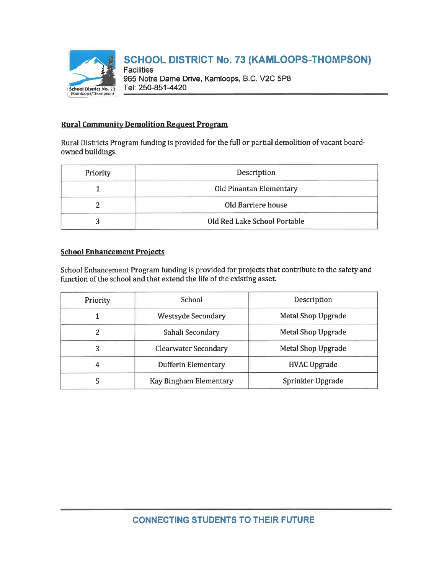

# SCHOOL DISTRICT No. 73 (KAMLOOPS-THOMPSON)

**Facilities** 965 Notre Dame Drive, Kamloops, B.C. V2C 5P8 Tel: 250-851-4420

### **Rural Community Demolition Request Program**

Rural Districts Program funding is provided for the full or partial demolition of vacant boardowned buildings.

| Priority | Description                    |
|----------|--------------------------------|
|          | <b>Old Pinantan Elementary</b> |
|          | Old Barriere house             |
|          | Old Red Lake School Portable   |

#### **School Enhancement Projects**

School Enhancement Program funding is provided for projects that contribute to the safety and function of the school and that extend the life of the existing asset.

| Priority | School                      | Description         |
|----------|-----------------------------|---------------------|
|          | <b>Westsyde Secondary</b>   | Metal Shop Upgrade  |
| 2        | Sahali Secondary            | Metal Shop Upgrade  |
| 3        | <b>Clearwater Secondary</b> | Metal Shop Upgrade  |
| 4        | Dufferin Elementary         | <b>HVAC Upgrade</b> |
| 5        | Kay Bingham Elementary      | Sprinkler Upgrade   |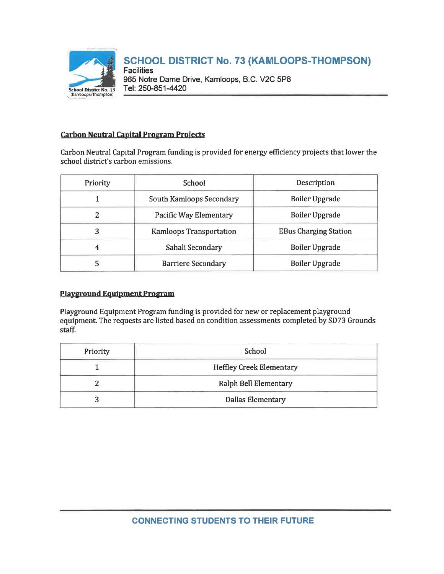

### **Carbon Neutral Capital Program Projects**

Carbon Neutral Capital Program funding is provided for energy efficiency projects that lower the school district's carbon emissions.

| Priority | School                         | Description                  |
|----------|--------------------------------|------------------------------|
|          | South Kamloops Secondary       | <b>Boiler Upgrade</b>        |
| 2        | <b>Pacific Way Elementary</b>  | <b>Boiler Upgrade</b>        |
| 3        | <b>Kamloops Transportation</b> | <b>EBus Charging Station</b> |
| 4        | Sahali Secondary               | <b>Boiler Upgrade</b>        |
| 5        | <b>Barriere Secondary</b>      | <b>Boiler Upgrade</b>        |

### Playground Equipment Program

Playground Equipment Program funding is provided for new or replacement playground equipment. The requests are listed based on condition assessments completed by SD73 Grounds staff.

| Priority | School                          |
|----------|---------------------------------|
|          | <b>Heffley Creek Elementary</b> |
|          | Ralph Bell Elementary           |
|          | <b>Dallas Elementary</b>        |